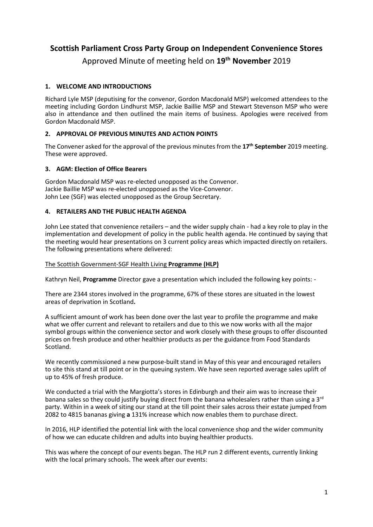## **Scottish Parliament Cross Party Group on Independent Convenience Stores**

Approved Minute of meeting held on **19th November** 2019

## **1. WELCOME AND INTRODUCTIONS**

Richard Lyle MSP (deputising for the convenor, Gordon Macdonald MSP) welcomed attendees to the meeting including Gordon Lindhurst MSP, Jackie Baillie MSP and Stewart Stevenson MSP who were also in attendance and then outlined the main items of business. Apologies were received from Gordon Macdonald MSP.

## **2. APPROVAL OF PREVIOUS MINUTES AND ACTION POINTS**

The Convener asked for the approval of the previous minutes from the **17th September** 2019 meeting. These were approved.

## **3. AGM: Election of Office Bearers**

Gordon Macdonald MSP was re-elected unopposed as the Convenor. Jackie Baillie MSP was re-elected unopposed as the Vice-Convenor. John Lee (SGF) was elected unopposed as the Group Secretary.

## **4. RETAILERS AND THE PUBLIC HEALTH AGENDA**

John Lee stated that convenience retailers – and the wider supply chain - had a key role to play in the implementation and development of policy in the public health agenda. He continued by saying that the meeting would hear presentations on 3 current policy areas which impacted directly on retailers. The following presentations where delivered:

## The Scottish Government-SGF Health Living **Programme (HLP)**

Kathryn Neil, **Programme** Director gave a presentation which included the following key points: -

There are 2344 stores involved in the programme, 67% of these stores are situated in the lowest areas of deprivation in Scotland**.**

A sufficient amount of work has been done over the last year to profile the programme and make what we offer current and relevant to retailers and due to this we now works with all the major symbol groups within the convenience sector and work closely with these groups to offer discounted prices on fresh produce and other healthier products as per the guidance from Food Standards Scotland.

We recently commissioned a new purpose-built stand in May of this year and encouraged retailers to site this stand at till point or in the queuing system. We have seen reported average sales uplift of up to 45% of fresh produce.

We conducted a trial with the Margiotta's stores in Edinburgh and their aim was to increase their banana sales so they could justify buying direct from the banana wholesalers rather than using a 3<sup>rd</sup> party. Within in a week of siting our stand at the till point their sales across their estate jumped from 2082 to 4815 bananas giving **a** 131% increase which now enables them to purchase direct.

In 2016, HLP identified the potential link with the local convenience shop and the wider community of how we can educate children and adults into buying healthier products.

This was where the concept of our events began. The HLP run 2 different events, currently linking with the local primary schools. The week after our events: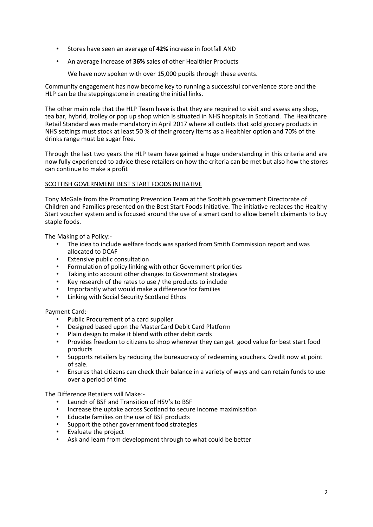- Stores have seen an average of **42%** increase in footfall AND
- An average Increase of **36%** sales of other Healthier Products

We have now spoken with over 15,000 pupils through these events.

Community engagement has now become key to running a successful convenience store and the HLP can be the steppingstone in creating the initial links.

The other main role that the HLP Team have is that they are required to visit and assess any shop, tea bar, hybrid, trolley or pop up shop which is situated in NHS hospitals in Scotland. The Healthcare Retail Standard was made mandatory in April 2017 where all outlets that sold grocery products in NHS settings must stock at least 50 % of their grocery items as a Healthier option and 70% of the drinks range must be sugar free.

Through the last two years the HLP team have gained a huge understanding in this criteria and are now fully experienced to advice these retailers on how the criteria can be met but also how the stores can continue to make a profit

#### SCOTTISH GOVERNMENT BEST START FOODS INITIATIVE

Tony McGale from the Promoting Prevention Team at the Scottish government Directorate of Children and Families presented on the Best Start Foods Initiative. The initiative replaces the Healthy Start voucher system and is focused around the use of a smart card to allow benefit claimants to buy staple foods.

The Making of a Policy:-

- The idea to include welfare foods was sparked from Smith Commission report and was allocated to DCAF
- Extensive public consultation
- Formulation of policy linking with other Government priorities
- Taking into account other changes to Government strategies
- Key research of the rates to use / the products to include
- Importantly what would make a difference for families
- Linking with Social Security Scotland Ethos

#### Payment Card:-

- Public Procurement of a card supplier
- Designed based upon the MasterCard Debit Card Platform
- Plain design to make it blend with other debit cards
- Provides freedom to citizens to shop wherever they can get good value for best start food products
- Supports retailers by reducing the bureaucracy of redeeming vouchers. Credit now at point of sale.
- Ensures that citizens can check their balance in a variety of ways and can retain funds to use over a period of time

The Difference Retailers will Make:-

- Launch of BSF and Transition of HSV's to BSF
- Increase the uptake across Scotland to secure income maximisation
- Educate families on the use of BSF products
- Support the other government food strategies
- Evaluate the project
- Ask and learn from development through to what could be better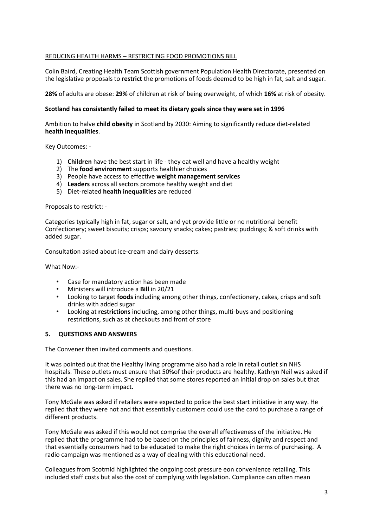#### REDUCING HEALTH HARMS – RESTRICTING FOOD PROMOTIONS BILL

Colin Baird, Creating Health Team Scottish government Population Health Directorate, presented on the legislative proposals to **restrict** the promotions of foods deemed to be high in fat, salt and sugar.

**28%** of adults are obese: **29%** of children at risk of being overweight, of which **16%** at risk of obesity.

#### **Scotland has consistently failed to meet its dietary goals since they were set in 1996**

Ambition to halve **child obesity** in Scotland by 2030: Aiming to significantly reduce diet-related **health inequalities**.

Key Outcomes: -

- 1) **Children** have the best start in life they eat well and have a healthy weight
- 2) The **food environment** supports healthier choices
- 3) People have access to effective **weight management services**
- 4) **Leaders** across all sectors promote healthy weight and diet
- 5) Diet-related **health inequalities** are reduced

Proposals to restrict: -

Categories typically high in fat, sugar or salt, and yet provide little or no nutritional benefit Confectionery; sweet biscuits; crisps; savoury snacks; cakes; pastries; puddings; & soft drinks with added sugar.

Consultation asked about ice-cream and dairy desserts.

What Now:-

- Case for mandatory action has been made
- Ministers will introduce a **Bill** in 20/21
- Looking to target **foods** including among other things, confectionery, cakes, crisps and soft drinks with added sugar
- Looking at **restrictions** including, among other things, multi-buys and positioning restrictions, such as at checkouts and front of store

#### **5. QUESTIONS AND ANSWERS**

The Convener then invited comments and questions.

It was pointed out that the Healthy living programme also had a role in retail outlet sin NHS hospitals. These outlets must ensure that 50%of their products are healthy. Kathryn Neil was asked if this had an impact on sales. She replied that some stores reported an initial drop on sales but that there was no long-term impact.

Tony McGale was asked if retailers were expected to police the best start initiative in any way. He replied that they were not and that essentially customers could use the card to purchase a range of different products.

Tony McGale was asked if this would not comprise the overall effectiveness of the initiative. He replied that the programme had to be based on the principles of fairness, dignity and respect and that essentially consumers had to be educated to make the right choices in terms of purchasing. A radio campaign was mentioned as a way of dealing with this educational need.

Colleagues from Scotmid highlighted the ongoing cost pressure eon convenience retailing. This included staff costs but also the cost of complying with legislation. Compliance can often mean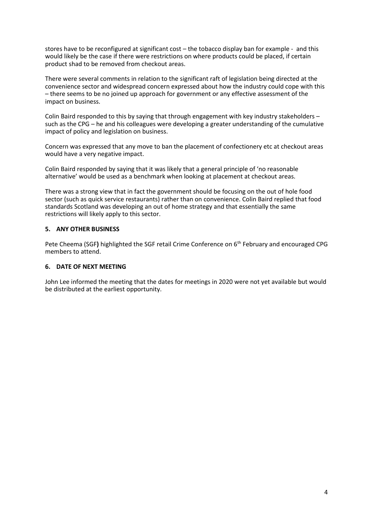stores have to be reconfigured at significant cost – the tobacco display ban for example - and this would likely be the case if there were restrictions on where products could be placed, if certain product shad to be removed from checkout areas.

There were several comments in relation to the significant raft of legislation being directed at the convenience sector and widespread concern expressed about how the industry could cope with this – there seems to be no joined up approach for government or any effective assessment of the impact on business.

Colin Baird responded to this by saying that through engagement with key industry stakeholders – such as the CPG – he and his colleagues were developing a greater understanding of the cumulative impact of policy and legislation on business.

Concern was expressed that any move to ban the placement of confectionery etc at checkout areas would have a very negative impact.

Colin Baird responded by saying that it was likely that a general principle of 'no reasonable alternative' would be used as a benchmark when looking at placement at checkout areas.

There was a strong view that in fact the government should be focusing on the out of hole food sector (such as quick service restaurants) rather than on convenience. Colin Baird replied that food standards Scotland was developing an out of home strategy and that essentially the same restrictions will likely apply to this sector.

#### **5. ANY OTHER BUSINESS**

Pete Cheema (SGF) highlighted the SGF retail Crime Conference on 6<sup>th</sup> February and encouraged CPG members to attend.

#### **6. DATE OF NEXT MEETING**

John Lee informed the meeting that the dates for meetings in 2020 were not yet available but would be distributed at the earliest opportunity.